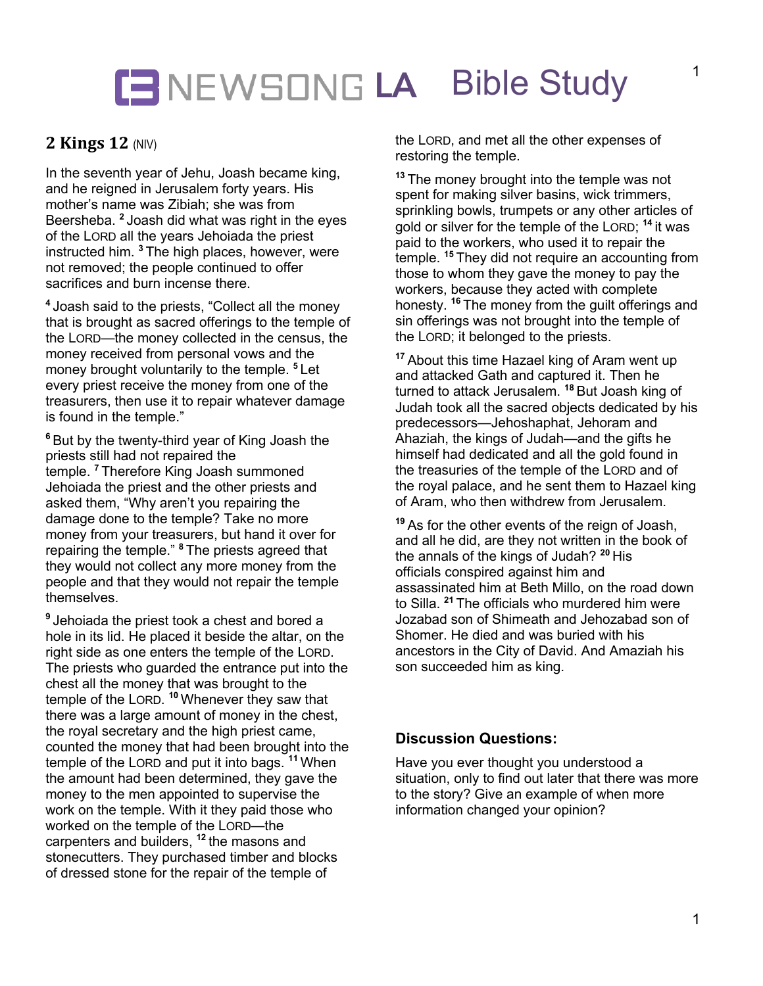## **LA** Bible Study

### **2 Kings 12 (NIV)**

In the seventh year of Jehu, Joash became king, and he reigned in Jerusalem forty years. His mother's name was Zibiah; she was from Beersheba. **<sup>2</sup>** Joash did what was right in the eyes of the LORD all the years Jehoiada the priest instructed him. **<sup>3</sup>** The high places, however, were not removed; the people continued to offer sacrifices and burn incense there.

**<sup>4</sup>** Joash said to the priests, "Collect all the money that is brought as sacred offerings to the temple of the LORD—the money collected in the census, the money received from personal vows and the money brought voluntarily to the temple. **<sup>5</sup>** Let every priest receive the money from one of the treasurers, then use it to repair whatever damage is found in the temple."

**<sup>6</sup>** But by the twenty-third year of King Joash the priests still had not repaired the temple. **<sup>7</sup>** Therefore King Joash summoned Jehoiada the priest and the other priests and asked them, "Why aren't you repairing the damage done to the temple? Take no more money from your treasurers, but hand it over for repairing the temple." **<sup>8</sup>** The priests agreed that they would not collect any more money from the people and that they would not repair the temple themselves.

**<sup>9</sup>** Jehoiada the priest took a chest and bored a hole in its lid. He placed it beside the altar, on the right side as one enters the temple of the LORD. The priests who guarded the entrance put into the chest all the money that was brought to the temple of the LORD. **<sup>10</sup>** Whenever they saw that there was a large amount of money in the chest, the royal secretary and the high priest came, counted the money that had been brought into the temple of the LORD and put it into bags. **<sup>11</sup>** When the amount had been determined, they gave the money to the men appointed to supervise the work on the temple. With it they paid those who worked on the temple of the LORD—the carpenters and builders, **<sup>12</sup>** the masons and stonecutters. They purchased timber and blocks of dressed stone for the repair of the temple of

the LORD, and met all the other expenses of restoring the temple.

**<sup>13</sup>** The money brought into the temple was not spent for making silver basins, wick trimmers, sprinkling bowls, trumpets or any other articles of gold or silver for the temple of the LORD; **<sup>14</sup>** it was paid to the workers, who used it to repair the temple. **<sup>15</sup>** They did not require an accounting from those to whom they gave the money to pay the workers, because they acted with complete honesty. **<sup>16</sup>** The money from the guilt offerings and sin offerings was not brought into the temple of the LORD; it belonged to the priests.

**<sup>17</sup>** About this time Hazael king of Aram went up and attacked Gath and captured it. Then he turned to attack Jerusalem. **<sup>18</sup>** But Joash king of Judah took all the sacred objects dedicated by his predecessors—Jehoshaphat, Jehoram and Ahaziah, the kings of Judah—and the gifts he himself had dedicated and all the gold found in the treasuries of the temple of the LORD and of the royal palace, and he sent them to Hazael king of Aram, who then withdrew from Jerusalem.

**<sup>19</sup>** As for the other events of the reign of Joash, and all he did, are they not written in the book of the annals of the kings of Judah? **<sup>20</sup>** His officials conspired against him and assassinated him at Beth Millo, on the road down to Silla. **<sup>21</sup>** The officials who murdered him were Jozabad son of Shimeath and Jehozabad son of Shomer. He died and was buried with his ancestors in the City of David. And Amaziah his son succeeded him as king.

#### **Discussion Questions:**

Have you ever thought you understood a situation, only to find out later that there was more to the story? Give an example of when more information changed your opinion?

1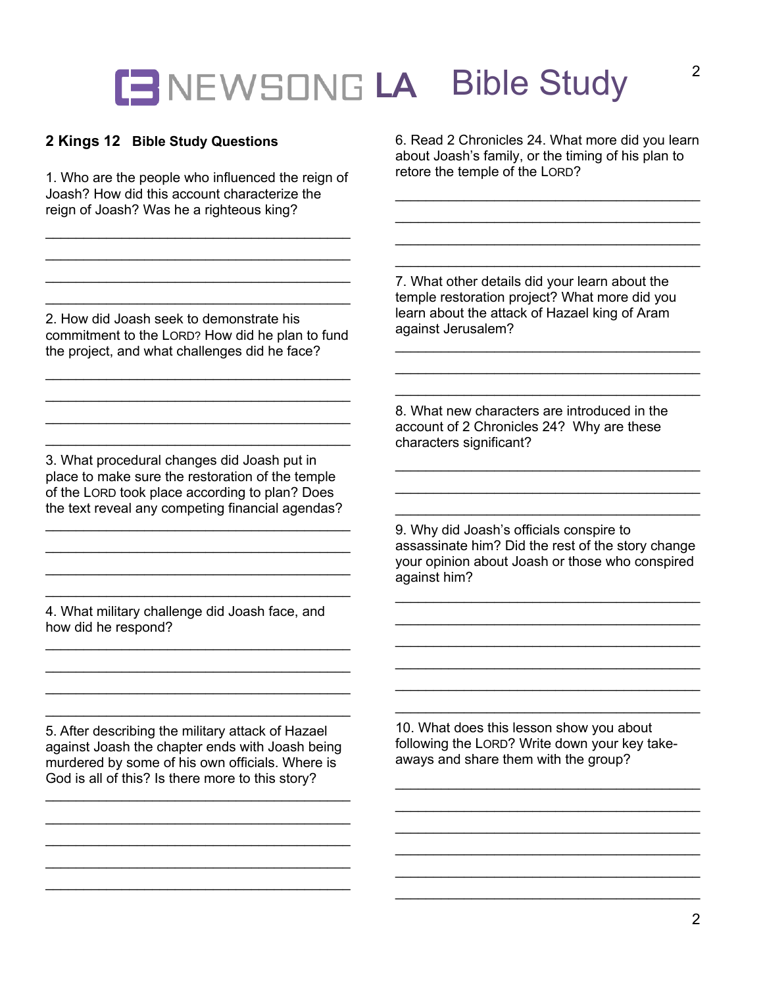# **LA** Bible Study

#### **2 Kings 12 Bible Study Questions**

1. Who are the people who influenced the reign of Joash? How did this account characterize the reign of Joash? Was he a righteous king?

\_\_\_\_\_\_\_\_\_\_\_\_\_\_\_\_\_\_\_\_\_\_\_\_\_\_\_\_\_\_\_\_\_\_\_\_\_\_\_\_

\_\_\_\_\_\_\_\_\_\_\_\_\_\_\_\_\_\_\_\_\_\_\_\_\_\_\_\_\_\_\_\_\_\_\_\_\_\_\_\_

2. How did Joash seek to demonstrate his commitment to the LORD? How did he plan to fund the project, and what challenges did he face?

\_\_\_\_\_\_\_\_\_\_\_\_\_\_\_\_\_\_\_\_\_\_\_\_\_\_\_\_\_\_\_\_\_\_\_\_\_\_\_\_

\_\_\_\_\_\_\_\_\_\_\_\_\_\_\_\_\_\_\_\_\_\_\_\_\_\_\_\_\_\_\_\_\_\_\_\_\_\_\_\_

3. What procedural changes did Joash put in place to make sure the restoration of the temple of the LORD took place according to plan? Does the text reveal any competing financial agendas?

\_\_\_\_\_\_\_\_\_\_\_\_\_\_\_\_\_\_\_\_\_\_\_\_\_\_\_\_\_\_\_\_\_\_\_\_\_\_\_\_

\_\_\_\_\_\_\_\_\_\_\_\_\_\_\_\_\_\_\_\_\_\_\_\_\_\_\_\_\_\_\_\_\_\_\_\_\_\_\_\_

\_\_\_\_\_\_\_\_\_\_\_\_\_\_\_\_\_\_\_\_\_\_\_\_\_\_\_\_\_\_\_\_\_\_\_\_\_\_\_\_

\_\_\_\_\_\_\_\_\_\_\_\_\_\_\_\_\_\_\_\_\_\_\_\_\_\_\_\_\_\_\_\_\_\_\_\_\_\_\_\_

4. What military challenge did Joash face, and how did he respond?

5. After describing the military attack of Hazael against Joash the chapter ends with Joash being murdered by some of his own officials. Where is God is all of this? Is there more to this story?

\_\_\_\_\_\_\_\_\_\_\_\_\_\_\_\_\_\_\_\_\_\_\_\_\_\_\_\_\_\_\_\_\_\_\_\_\_\_\_\_ \_\_\_\_\_\_\_\_\_\_\_\_\_\_\_\_\_\_\_\_\_\_\_\_\_\_\_\_\_\_\_\_\_\_\_\_\_\_\_\_ \_\_\_\_\_\_\_\_\_\_\_\_\_\_\_\_\_\_\_\_\_\_\_\_\_\_\_\_\_\_\_\_\_\_\_\_\_\_\_\_ \_\_\_\_\_\_\_\_\_\_\_\_\_\_\_\_\_\_\_\_\_\_\_\_\_\_\_\_\_\_\_\_\_\_\_\_\_\_\_\_ \_\_\_\_\_\_\_\_\_\_\_\_\_\_\_\_\_\_\_\_\_\_\_\_\_\_\_\_\_\_\_\_\_\_\_\_\_\_\_\_ 6. Read 2 Chronicles 24. What more did you learn about Joash's family, or the timing of his plan to retore the temple of the LORD?

\_\_\_\_\_\_\_\_\_\_\_\_\_\_\_\_\_\_\_\_\_\_\_\_\_\_\_\_\_\_\_\_\_\_\_\_\_\_\_\_ \_\_\_\_\_\_\_\_\_\_\_\_\_\_\_\_\_\_\_\_\_\_\_\_\_\_\_\_\_\_\_\_\_\_\_\_\_\_\_\_  $\mathcal{L}=\{1,2,3,4,5\}$ \_\_\_\_\_\_\_\_\_\_\_\_\_\_\_\_\_\_\_\_\_\_\_\_\_\_\_\_\_\_\_\_\_\_\_\_\_\_\_\_

7. What other details did your learn about the temple restoration project? What more did you learn about the attack of Hazael king of Aram against Jerusalem?

\_\_\_\_\_\_\_\_\_\_\_\_\_\_\_\_\_\_\_\_\_\_\_\_\_\_\_\_\_\_\_\_\_\_\_\_\_\_\_\_

\_\_\_\_\_\_\_\_\_\_\_\_\_\_\_\_\_\_\_\_\_\_\_\_\_\_\_\_\_\_\_\_\_\_\_\_\_\_\_\_ \_\_\_\_\_\_\_\_\_\_\_\_\_\_\_\_\_\_\_\_\_\_\_\_\_\_\_\_\_\_\_\_\_\_\_\_\_\_\_\_ \_\_\_\_\_\_\_\_\_\_\_\_\_\_\_\_\_\_\_\_\_\_\_\_\_\_\_\_\_\_\_\_\_\_\_\_\_\_\_\_

8. What new characters are introduced in the account of 2 Chronicles 24? Why are these characters significant?

9. Why did Joash's officials conspire to assassinate him? Did the rest of the story change your opinion about Joash or those who conspired against him?

\_\_\_\_\_\_\_\_\_\_\_\_\_\_\_\_\_\_\_\_\_\_\_\_\_\_\_\_\_\_\_\_\_\_\_\_\_\_\_\_

\_\_\_\_\_\_\_\_\_\_\_\_\_\_\_\_\_\_\_\_\_\_\_\_\_\_\_\_\_\_\_\_\_\_\_\_\_\_\_\_ \_\_\_\_\_\_\_\_\_\_\_\_\_\_\_\_\_\_\_\_\_\_\_\_\_\_\_\_\_\_\_\_\_\_\_\_\_\_\_\_ \_\_\_\_\_\_\_\_\_\_\_\_\_\_\_\_\_\_\_\_\_\_\_\_\_\_\_\_\_\_\_\_\_\_\_\_\_\_\_\_ \_\_\_\_\_\_\_\_\_\_\_\_\_\_\_\_\_\_\_\_\_\_\_\_\_\_\_\_\_\_\_\_\_\_\_\_\_\_\_\_

10. What does this lesson show you about following the LORD? Write down your key takeaways and share them with the group?

\_\_\_\_\_\_\_\_\_\_\_\_\_\_\_\_\_\_\_\_\_\_\_\_\_\_\_\_\_\_\_\_\_\_\_\_\_\_\_\_

\_\_\_\_\_\_\_\_\_\_\_\_\_\_\_\_\_\_\_\_\_\_\_\_\_\_\_\_\_\_\_\_\_\_\_\_\_\_\_\_ \_\_\_\_\_\_\_\_\_\_\_\_\_\_\_\_\_\_\_\_\_\_\_\_\_\_\_\_\_\_\_\_\_\_\_\_\_\_\_\_ \_\_\_\_\_\_\_\_\_\_\_\_\_\_\_\_\_\_\_\_\_\_\_\_\_\_\_\_\_\_\_\_\_\_\_\_\_\_\_\_ \_\_\_\_\_\_\_\_\_\_\_\_\_\_\_\_\_\_\_\_\_\_\_\_\_\_\_\_\_\_\_\_\_\_\_\_\_\_\_\_